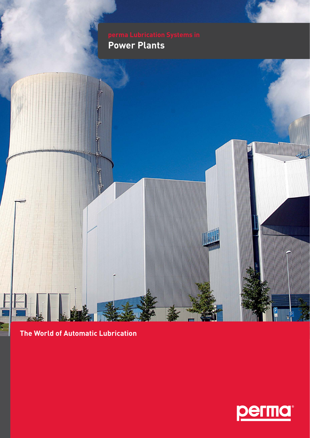**Power Plants**



## **The World of Automatic Lubrication**

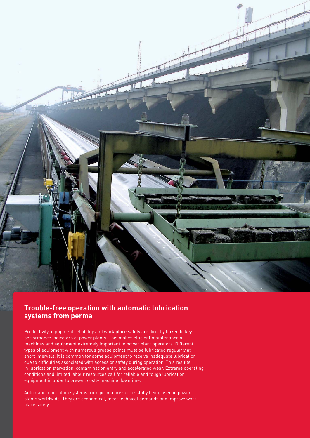

### **Trouble-free operation with automatic lubrication systems from perma**

Productivity, equipment reliability and work place safety are directly linked to key performance indicators of power plants. This makes efficient maintenance of machines and equipment extremely important to power plant operators. Different types of equipment with numerous grease points must be lubricated regularly at short intervals. It is common for some equipment to receive inadequate lubrication due to difficulties associated with access or safety during operation. This results in lubrication starvation, contamination entry and accelerated wear. Extreme operating conditions and limited labour resources call for reliable and tough lubrication equipment in order to prevent costly machine downtime.

Automatic lubrication systems from perma are successfully being used in power plants worldwide. They are economical, meet technical demands and improve work place safety.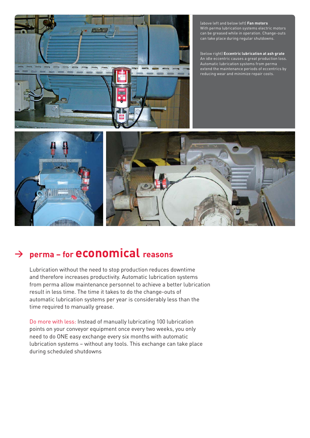

(above left and below left) **Fan motors** With perma lubrication systems electric motors can be greased while in operation. Change-outs can take place during regular shutdowns.

(below right) **Eccentric lubrication at ash grate** An idle eccentric causes a great production loss. Automatic lubrication systems from perma extend the maintenance periods of eccentrics by reducing wear and minimize repair costs.



# **<sup>&</sup>gt; perma – for economical reasons**

Lubrication without the need to stop production reduces downtime and therefore increases productivity. Automatic lubrication systems from perma allow maintenance personnel to achieve a better lubrication result in less time. The time it takes to do the change-outs of automatic lubrication systems per year is considerably less than the time required to manually grease.

Do more with less: Instead of manually lubricating 100 lubrication points on your conveyor equipment once every two weeks, you only need to do ONE easy exchange every six months with automatic lubrication systems – without any tools. This exchange can take place during scheduled shutdowns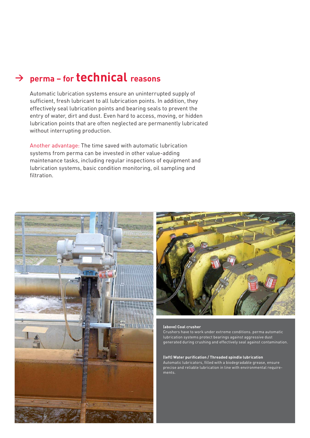## **<sup>&</sup>gt; perma – for technical reasons**

Automatic lubrication systems ensure an uninterrupted supply of sufficient, fresh lubricant to all lubrication points. In addition, they effectively seal lubrication points and bearing seals to prevent the entry of water, dirt and dust. Even hard to access, moving, or hidden lubrication points that are often neglected are permanently lubricated without interrupting production.

Another advantage: The time saved with automatic lubrication systems from perma can be invested in other value-adding maintenance tasks, including regular inspections of equipment and lubrication systems, basic condition monitoring, oil sampling and filtration





#### **(above) Coal crusher**

Crushers have to work under extreme conditions. perma automatic lubrication systems protect bearings against aggressive dust generated during crushing and effectively seal against contamination.

#### **(left) Water purifi cation / Threaded spindle lubrication**

Automatic lubricators, filled with a biodegradable grease, ensure precise and reliable lubrication in line with environmental requirements.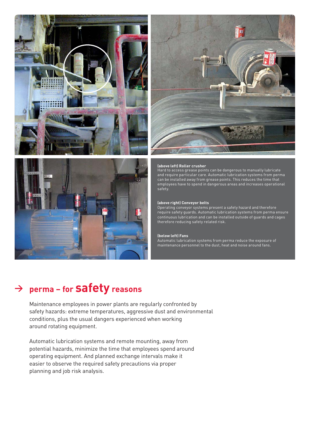





#### **(above left) Roller crusher**

Hard to access grease points can be dangerous to manually lubricate and require particular care. Automatic lubrication systems from perma can be installed away from grease points. This reduces the time that employees have to spend in dangerous areas and increases operational safety.

#### **(above right) Conveyor belts**

Operating conveyor systems present a safety hazard and therefore require safety guards. Automatic lubrication systems from perma ensure continuous lubrication and can be installed outside of guards and cages therefore reducing safety related risk.

#### **(below left) Fans**

Automatic lubrication systems from perma reduce the exposure of maintenance personnel to the dust, heat and noise around fans.

## **<sup>&</sup>gt; perma – for safety reasons**

Maintenance employees in power plants are regularly confronted by safety hazards: extreme temperatures, aggressive dust and environmental conditions, plus the usual dangers experienced when working around rotating equipment.

Automatic lubrication systems and remote mounting, away from potential hazards, minimize the time that employees spend around operating equipment. And planned exchange intervals make it easier to observe the required safety precautions via proper planning and job risk analysis.